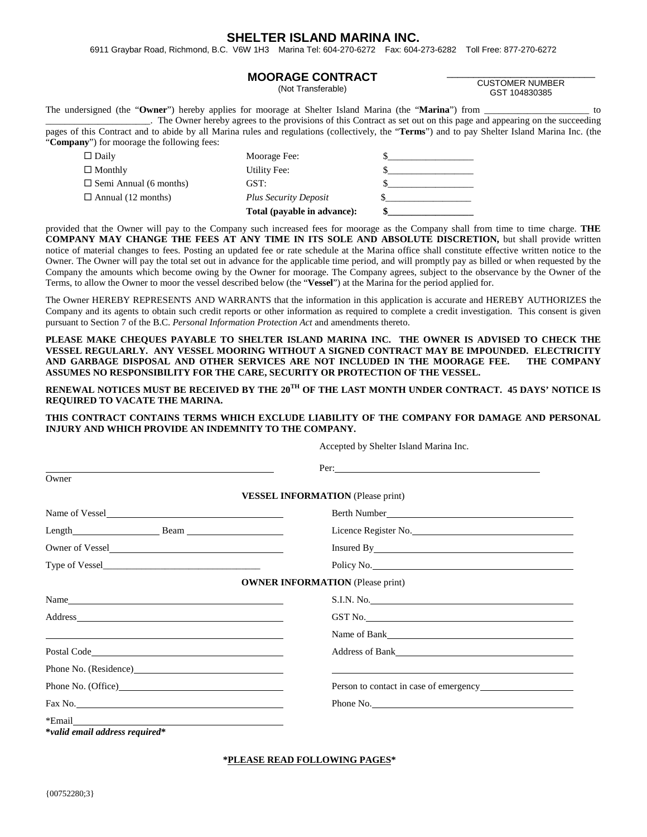## **SHELTER ISLAND MARINA INC.**

6911 Graybar Road, Richmond, B.C. V6W 1H3 Marina Tel: 604-270-6272 Fax: 604-273-6282 Toll Free: 877-270-6272

#### **MOORAGE CONTRACT**

(Not Transferable)

#### \_\_\_\_\_\_\_\_\_\_\_\_\_\_\_\_\_\_\_\_\_\_\_\_\_\_\_\_ CUSTOMER NUMBER GST 104830385

The undersigned (the "**Owner**") hereby applies for moorage at Shelter Island Marina (the "**Marina**") from \_\_\_\_\_\_\_\_\_\_\_\_\_\_\_\_\_\_\_\_\_\_ to \_\_\_\_\_\_\_\_\_\_\_\_\_\_\_\_\_\_\_\_\_\_. The Owner hereby agrees to the provisions of this Contract as set out on this page and appearing on the succeeding pages of this Contract and to abide by all Marina rules and regulations (collectively, the "**Terms**") and to pay Shelter Island Marina Inc. (the "**Company**") for moorage the following fees:

| $\Box$ Daily                  | Moorage Fee:                 |  |
|-------------------------------|------------------------------|--|
| $\Box$ Monthly                | Utility Fee:                 |  |
| $\Box$ Semi Annual (6 months) | GST:                         |  |
| $\Box$ Annual (12 months)     | <b>Plus Security Deposit</b> |  |
|                               | Total (payable in advance):  |  |

provided that the Owner will pay to the Company such increased fees for moorage as the Company shall from time to time charge. **THE COMPANY MAY CHANGE THE FEES AT ANY TIME IN ITS SOLE AND ABSOLUTE DISCRETION,** but shall provide written notice of material changes to fees. Posting an updated fee or rate schedule at the Marina office shall constitute effective written notice to the Owner. The Owner will pay the total set out in advance for the applicable time period, and will promptly pay as billed or when requested by the Company the amounts which become owing by the Owner for moorage. The Company agrees, subject to the observance by the Owner of the Terms, to allow the Owner to moor the vessel described below (the "**Vessel**") at the Marina for the period applied for.

The Owner HEREBY REPRESENTS AND WARRANTS that the information in this application is accurate and HEREBY AUTHORIZES the Company and its agents to obtain such credit reports or other information as required to complete a credit investigation. This consent is given pursuant to Section 7 of the B.C. *Personal Information Protection Act* and amendments thereto.

**PLEASE MAKE CHEQUES PAYABLE TO SHELTER ISLAND MARINA INC. THE OWNER IS ADVISED TO CHECK THE VESSEL REGULARLY. ANY VESSEL MOORING WITHOUT A SIGNED CONTRACT MAY BE IMPOUNDED. ELECTRICITY AND GARBAGE DISPOSAL AND OTHER SERVICES ARE NOT INCLUDED IN THE MOORAGE FEE. THE COMPANY ASSUMES NO RESPONSIBILITY FOR THE CARE, SECURITY OR PROTECTION OF THE VESSEL.**

**RENEWAL NOTICES MUST BE RECEIVED BY THE 20TH OF THE LAST MONTH UNDER CONTRACT. 45 DAYS' NOTICE IS REQUIRED TO VACATE THE MARINA.**

**THIS CONTRACT CONTAINS TERMS WHICH EXCLUDE LIABILITY OF THE COMPANY FOR DAMAGE AND PERSONAL INJURY AND WHICH PROVIDE AN INDEMNITY TO THE COMPANY.**

Accepted by Shelter Island Marina Inc.

|                                                                                                                                                                                                                                | Per:                                                                                                                                                                                                                           |
|--------------------------------------------------------------------------------------------------------------------------------------------------------------------------------------------------------------------------------|--------------------------------------------------------------------------------------------------------------------------------------------------------------------------------------------------------------------------------|
| Owner                                                                                                                                                                                                                          |                                                                                                                                                                                                                                |
|                                                                                                                                                                                                                                | <b>VESSEL INFORMATION</b> (Please print)                                                                                                                                                                                       |
| Name of Vessel                                                                                                                                                                                                                 | Berth Number                                                                                                                                                                                                                   |
| Length Beam Beam                                                                                                                                                                                                               | Licence Register No.                                                                                                                                                                                                           |
| Owner of Vessel                                                                                                                                                                                                                | Insured By Electric Secretary and Secretary and Secretary and Secretary and Secretary and Secretary and Secretary and Secretary and Secretary and Secretary and Secretary and Secretary and Secretary and Secretary and Secret |
|                                                                                                                                                                                                                                | Policy No.                                                                                                                                                                                                                     |
|                                                                                                                                                                                                                                | <b>OWNER INFORMATION (Please print)</b>                                                                                                                                                                                        |
| Name                                                                                                                                                                                                                           | S.I.N. No.                                                                                                                                                                                                                     |
| Address and the contract of the contract of the contract of the contract of the contract of the contract of the contract of the contract of the contract of the contract of the contract of the contract of the contract of th | GST No.                                                                                                                                                                                                                        |
| <u> Alexandro de la contrada de la contrada de la contrada de la contrada de la contrada de la contrada de la con</u>                                                                                                          |                                                                                                                                                                                                                                |
|                                                                                                                                                                                                                                | Address of Bank Management and Second Library and Second Library and Second Library and Second Library and Second Library and Second Library and Second Library and Second Library and Second Library and Second Library and S |
|                                                                                                                                                                                                                                |                                                                                                                                                                                                                                |
|                                                                                                                                                                                                                                | Person to contact in case of emergency                                                                                                                                                                                         |
| Fax No.                                                                                                                                                                                                                        | Phone No.                                                                                                                                                                                                                      |
| *Email<br>*valid email address required*                                                                                                                                                                                       |                                                                                                                                                                                                                                |

**\*PLEASE READ FOLLOWING PAGES\***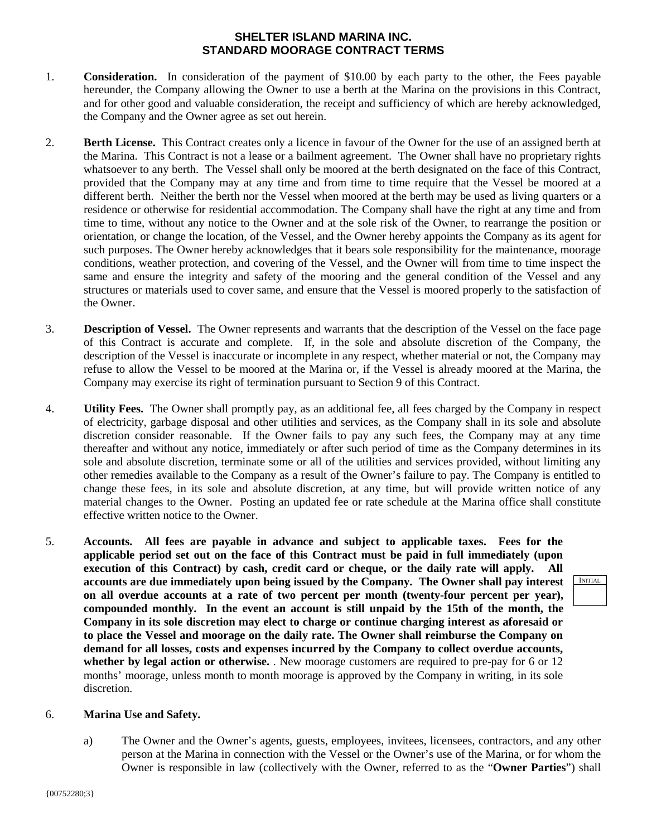# **SHELTER ISLAND MARINA INC. STANDARD MOORAGE CONTRACT TERMS**

- 1. **Consideration.** In consideration of the payment of \$10.00 by each party to the other, the Fees payable hereunder, the Company allowing the Owner to use a berth at the Marina on the provisions in this Contract, and for other good and valuable consideration, the receipt and sufficiency of which are hereby acknowledged, the Company and the Owner agree as set out herein.
- 2. **Berth License.** This Contract creates only a licence in favour of the Owner for the use of an assigned berth at the Marina. This Contract is not a lease or a bailment agreement. The Owner shall have no proprietary rights whatsoever to any berth. The Vessel shall only be moored at the berth designated on the face of this Contract, provided that the Company may at any time and from time to time require that the Vessel be moored at a different berth. Neither the berth nor the Vessel when moored at the berth may be used as living quarters or a residence or otherwise for residential accommodation. The Company shall have the right at any time and from time to time, without any notice to the Owner and at the sole risk of the Owner, to rearrange the position or orientation, or change the location, of the Vessel, and the Owner hereby appoints the Company as its agent for such purposes. The Owner hereby acknowledges that it bears sole responsibility for the maintenance, moorage conditions, weather protection, and covering of the Vessel, and the Owner will from time to time inspect the same and ensure the integrity and safety of the mooring and the general condition of the Vessel and any structures or materials used to cover same, and ensure that the Vessel is moored properly to the satisfaction of the Owner.
- 3. **Description of Vessel.** The Owner represents and warrants that the description of the Vessel on the face page of this Contract is accurate and complete. If, in the sole and absolute discretion of the Company, the description of the Vessel is inaccurate or incomplete in any respect, whether material or not, the Company may refuse to allow the Vessel to be moored at the Marina or, if the Vessel is already moored at the Marina, the Company may exercise its right of termination pursuant to Section 9 of this Contract.
- 4. **Utility Fees.** The Owner shall promptly pay, as an additional fee, all fees charged by the Company in respect of electricity, garbage disposal and other utilities and services, as the Company shall in its sole and absolute discretion consider reasonable. If the Owner fails to pay any such fees, the Company may at any time thereafter and without any notice, immediately or after such period of time as the Company determines in its sole and absolute discretion, terminate some or all of the utilities and services provided, without limiting any other remedies available to the Company as a result of the Owner's failure to pay. The Company is entitled to change these fees, in its sole and absolute discretion, at any time, but will provide written notice of any material changes to the Owner. Posting an updated fee or rate schedule at the Marina office shall constitute effective written notice to the Owner.
- 5. **Accounts. All fees are payable in advance and subject to applicable taxes. Fees for the applicable period set out on the face of this Contract must be paid in full immediately (upon execution of this Contract) by cash, credit card or cheque, or the daily rate will apply. All accounts are due immediately upon being issued by the Company. The Owner shall pay interest on all overdue accounts at a rate of two percent per month (twenty-four percent per year), compounded monthly. In the event an account is still unpaid by the 15th of the month, the Company in its sole discretion may elect to charge or continue charging interest as aforesaid or to place the Vessel and moorage on the daily rate. The Owner shall reimburse the Company on demand for all losses, costs and expenses incurred by the Company to collect overdue accounts, whether by legal action or otherwise.** . New moorage customers are required to pre-pay for 6 or 12 months' moorage, unless month to month moorage is approved by the Company in writing, in its sole discretion.

# INITIAL

# 6. **Marina Use and Safety.**

a) The Owner and the Owner's agents, guests, employees, invitees, licensees, contractors, and any other person at the Marina in connection with the Vessel or the Owner's use of the Marina, or for whom the Owner is responsible in law (collectively with the Owner, referred to as the "**Owner Parties**") shall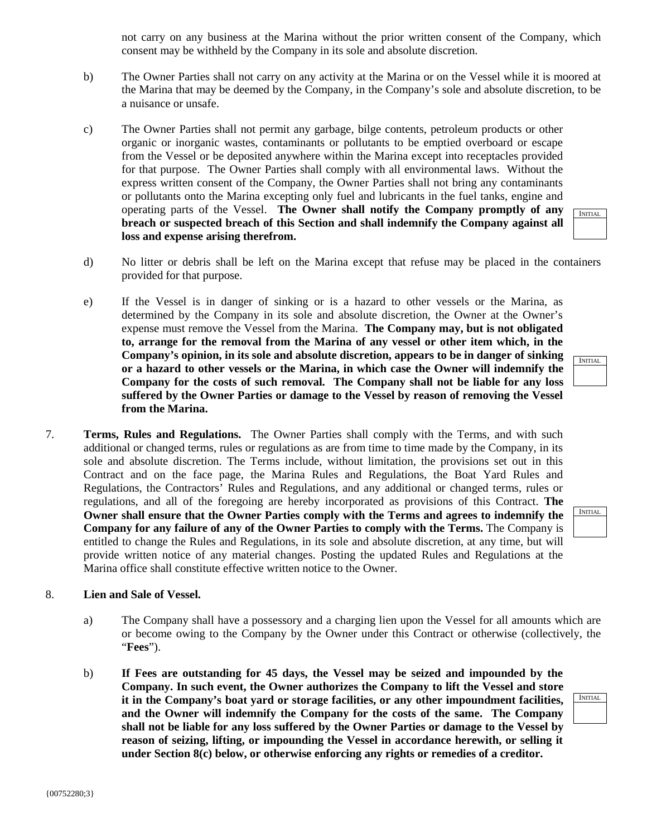not carry on any business at the Marina without the prior written consent of the Company, which consent may be withheld by the Company in its sole and absolute discretion.

- b) The Owner Parties shall not carry on any activity at the Marina or on the Vessel while it is moored at the Marina that may be deemed by the Company, in the Company's sole and absolute discretion, to be a nuisance or unsafe.
- c) The Owner Parties shall not permit any garbage, bilge contents, petroleum products or other organic or inorganic wastes, contaminants or pollutants to be emptied overboard or escape from the Vessel or be deposited anywhere within the Marina except into receptacles provided for that purpose. The Owner Parties shall comply with all environmental laws. Without the express written consent of the Company, the Owner Parties shall not bring any contaminants or pollutants onto the Marina excepting only fuel and lubricants in the fuel tanks, engine and operating parts of the Vessel. **The Owner shall notify the Company promptly of any breach or suspected breach of this Section and shall indemnify the Company against all loss and expense arising therefrom.**
- d) No litter or debris shall be left on the Marina except that refuse may be placed in the containers provided for that purpose.
- e) If the Vessel is in danger of sinking or is a hazard to other vessels or the Marina, as determined by the Company in its sole and absolute discretion, the Owner at the Owner's expense must remove the Vessel from the Marina. **The Company may, but is not obligated to, arrange for the removal from the Marina of any vessel or other item which, in the Company's opinion, in its sole and absolute discretion, appears to be in danger of sinking or a hazard to other vessels or the Marina, in which case the Owner will indemnify the Company for the costs of such removal. The Company shall not be liable for any loss suffered by the Owner Parties or damage to the Vessel by reason of removing the Vessel from the Marina.**
- 7. **Terms, Rules and Regulations.** The Owner Parties shall comply with the Terms, and with such additional or changed terms, rules or regulations as are from time to time made by the Company, in its sole and absolute discretion. The Terms include, without limitation, the provisions set out in this Contract and on the face page, the Marina Rules and Regulations, the Boat Yard Rules and Regulations, the Contractors' Rules and Regulations, and any additional or changed terms, rules or regulations, and all of the foregoing are hereby incorporated as provisions of this Contract. **The Owner shall ensure that the Owner Parties comply with the Terms and agrees to indemnify the Company for any failure of any of the Owner Parties to comply with the Terms.** The Company is entitled to change the Rules and Regulations, in its sole and absolute discretion, at any time, but will provide written notice of any material changes. Posting the updated Rules and Regulations at the Marina office shall constitute effective written notice to the Owner.

### 8. **Lien and Sale of Vessel.**

- a) The Company shall have a possessory and a charging lien upon the Vessel for all amounts which are or become owing to the Company by the Owner under this Contract or otherwise (collectively, the "**Fees**").
- b) **If Fees are outstanding for 45 days, the Vessel may be seized and impounded by the Company. In such event, the Owner authorizes the Company to lift the Vessel and store it in the Company's boat yard or storage facilities, or any other impoundment facilities, and the Owner will indemnify the Company for the costs of the same. The Company shall not be liable for any loss suffered by the Owner Parties or damage to the Vessel by reason of seizing, lifting, or impounding the Vessel in accordance herewith, or selling it under Section 8(c) below, or otherwise enforcing any rights or remedies of a creditor.**

INITIAL

INITIAL

INITIAL.

| ч.<br>× |
|---------|
|         |
|         |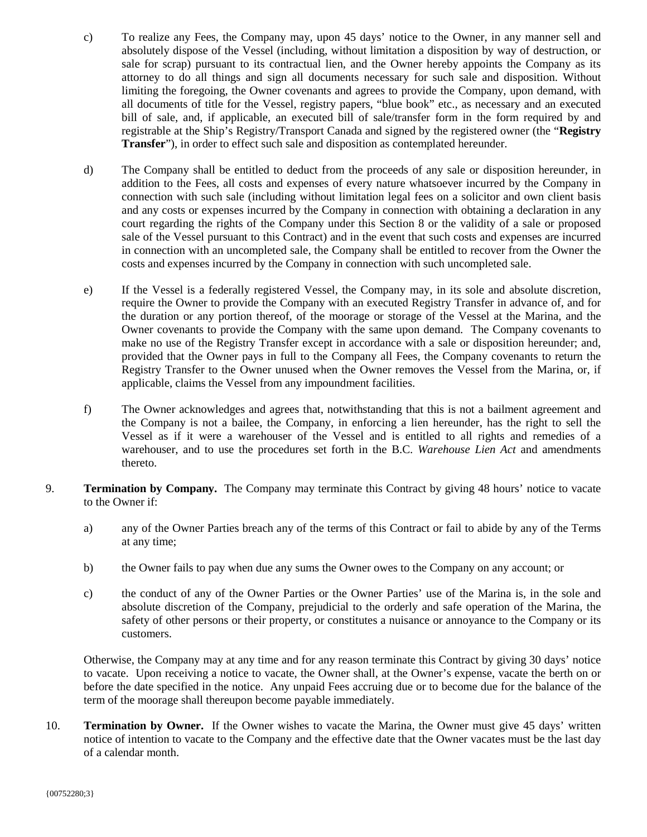- c) To realize any Fees, the Company may, upon 45 days' notice to the Owner, in any manner sell and absolutely dispose of the Vessel (including, without limitation a disposition by way of destruction, or sale for scrap) pursuant to its contractual lien, and the Owner hereby appoints the Company as its attorney to do all things and sign all documents necessary for such sale and disposition. Without limiting the foregoing, the Owner covenants and agrees to provide the Company, upon demand, with all documents of title for the Vessel, registry papers, "blue book" etc., as necessary and an executed bill of sale, and, if applicable, an executed bill of sale/transfer form in the form required by and registrable at the Ship's Registry/Transport Canada and signed by the registered owner (the "**Registry Transfer**"), in order to effect such sale and disposition as contemplated hereunder.
- d) The Company shall be entitled to deduct from the proceeds of any sale or disposition hereunder, in addition to the Fees, all costs and expenses of every nature whatsoever incurred by the Company in connection with such sale (including without limitation legal fees on a solicitor and own client basis and any costs or expenses incurred by the Company in connection with obtaining a declaration in any court regarding the rights of the Company under this Section 8 or the validity of a sale or proposed sale of the Vessel pursuant to this Contract) and in the event that such costs and expenses are incurred in connection with an uncompleted sale, the Company shall be entitled to recover from the Owner the costs and expenses incurred by the Company in connection with such uncompleted sale.
- e) If the Vessel is a federally registered Vessel, the Company may, in its sole and absolute discretion, require the Owner to provide the Company with an executed Registry Transfer in advance of, and for the duration or any portion thereof, of the moorage or storage of the Vessel at the Marina, and the Owner covenants to provide the Company with the same upon demand. The Company covenants to make no use of the Registry Transfer except in accordance with a sale or disposition hereunder; and, provided that the Owner pays in full to the Company all Fees, the Company covenants to return the Registry Transfer to the Owner unused when the Owner removes the Vessel from the Marina, or, if applicable, claims the Vessel from any impoundment facilities.
- f) The Owner acknowledges and agrees that, notwithstanding that this is not a bailment agreement and the Company is not a bailee, the Company, in enforcing a lien hereunder, has the right to sell the Vessel as if it were a warehouser of the Vessel and is entitled to all rights and remedies of a warehouser, and to use the procedures set forth in the B.C. *Warehouse Lien Act* and amendments thereto.
- 9. **Termination by Company.** The Company may terminate this Contract by giving 48 hours' notice to vacate to the Owner if:
	- a) any of the Owner Parties breach any of the terms of this Contract or fail to abide by any of the Terms at any time;
	- b) the Owner fails to pay when due any sums the Owner owes to the Company on any account; or
	- c) the conduct of any of the Owner Parties or the Owner Parties' use of the Marina is, in the sole and absolute discretion of the Company, prejudicial to the orderly and safe operation of the Marina, the safety of other persons or their property, or constitutes a nuisance or annoyance to the Company or its customers.

Otherwise, the Company may at any time and for any reason terminate this Contract by giving 30 days' notice to vacate. Upon receiving a notice to vacate, the Owner shall, at the Owner's expense, vacate the berth on or before the date specified in the notice. Any unpaid Fees accruing due or to become due for the balance of the term of the moorage shall thereupon become payable immediately.

10. **Termination by Owner.** If the Owner wishes to vacate the Marina, the Owner must give 45 days' written notice of intention to vacate to the Company and the effective date that the Owner vacates must be the last day of a calendar month.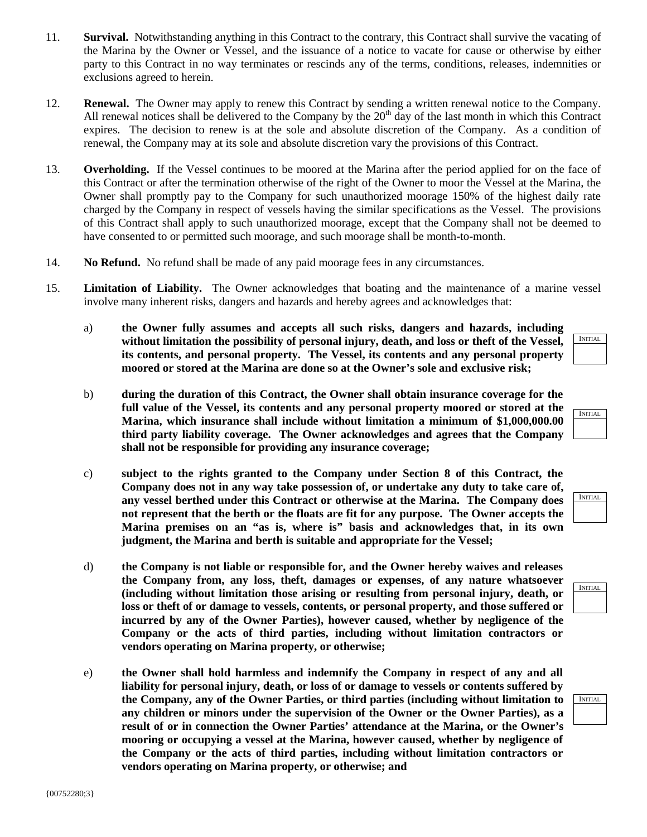- 11. **Survival.** Notwithstanding anything in this Contract to the contrary, this Contract shall survive the vacating of the Marina by the Owner or Vessel, and the issuance of a notice to vacate for cause or otherwise by either party to this Contract in no way terminates or rescinds any of the terms, conditions, releases, indemnities or exclusions agreed to herein.
- 12. **Renewal.** The Owner may apply to renew this Contract by sending a written renewal notice to the Company. All renewal notices shall be delivered to the Company by the  $20<sup>th</sup>$  day of the last month in which this Contract expires. The decision to renew is at the sole and absolute discretion of the Company. As a condition of renewal, the Company may at its sole and absolute discretion vary the provisions of this Contract.
- 13. **Overholding.** If the Vessel continues to be moored at the Marina after the period applied for on the face of this Contract or after the termination otherwise of the right of the Owner to moor the Vessel at the Marina, the Owner shall promptly pay to the Company for such unauthorized moorage 150% of the highest daily rate charged by the Company in respect of vessels having the similar specifications as the Vessel. The provisions of this Contract shall apply to such unauthorized moorage, except that the Company shall not be deemed to have consented to or permitted such moorage, and such moorage shall be month-to-month.
- 14. **No Refund.** No refund shall be made of any paid moorage fees in any circumstances.
- 15. **Limitation of Liability.** The Owner acknowledges that boating and the maintenance of a marine vessel involve many inherent risks, dangers and hazards and hereby agrees and acknowledges that:
	- a) **the Owner fully assumes and accepts all such risks, dangers and hazards, including without limitation the possibility of personal injury, death, and loss or theft of the Vessel, its contents, and personal property. The Vessel, its contents and any personal property moored or stored at the Marina are done so at the Owner's sole and exclusive risk;**
	- b) **during the duration of this Contract, the Owner shall obtain insurance coverage for the full value of the Vessel, its contents and any personal property moored or stored at the Marina, which insurance shall include without limitation a minimum of \$1,000,000.00 third party liability coverage. The Owner acknowledges and agrees that the Company shall not be responsible for providing any insurance coverage;**
	- c) **subject to the rights granted to the Company under Section 8 of this Contract, the Company does not in any way take possession of, or undertake any duty to take care of, any vessel berthed under this Contract or otherwise at the Marina. The Company does not represent that the berth or the floats are fit for any purpose. The Owner accepts the Marina premises on an "as is, where is" basis and acknowledges that, in its own judgment, the Marina and berth is suitable and appropriate for the Vessel;**
	- d) **the Company is not liable or responsible for, and the Owner hereby waives and releases the Company from, any loss, theft, damages or expenses, of any nature whatsoever (including without limitation those arising or resulting from personal injury, death, or loss or theft of or damage to vessels, contents, or personal property, and those suffered or incurred by any of the Owner Parties), however caused, whether by negligence of the Company or the acts of third parties, including without limitation contractors or vendors operating on Marina property, or otherwise;**
	- e) **the Owner shall hold harmless and indemnify the Company in respect of any and all liability for personal injury, death, or loss of or damage to vessels or contents suffered by the Company, any of the Owner Parties, or third parties (including without limitation to any children or minors under the supervision of the Owner or the Owner Parties), as a result of or in connection the Owner Parties' attendance at the Marina, or the Owner's mooring or occupying a vessel at the Marina, however caused, whether by negligence of the Company or the acts of third parties, including without limitation contractors or vendors operating on Marina property, or otherwise; and**



| VITIAL<br>N |
|-------------|
|             |
|             |

| IITIA |
|-------|
|       |
|       |
|       |

| <b>SITIAI</b> |
|---------------|
|               |
|               |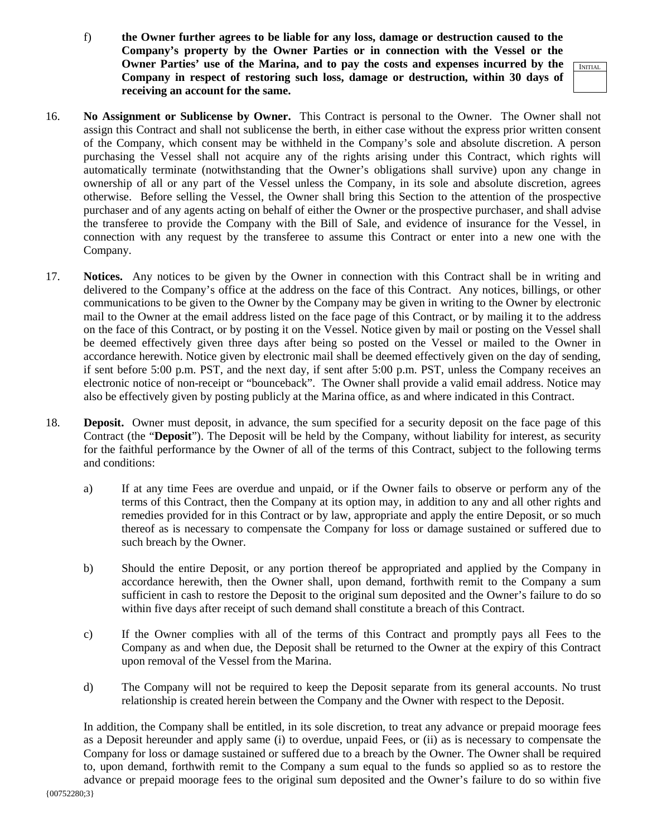f) **the Owner further agrees to be liable for any loss, damage or destruction caused to the Company's property by the Owner Parties or in connection with the Vessel or the Owner Parties' use of the Marina, and to pay the costs and expenses incurred by the Company in respect of restoring such loss, damage or destruction, within 30 days of receiving an account for the same.**

INITIAL

- 16. **No Assignment or Sublicense by Owner.** This Contract is personal to the Owner. The Owner shall not assign this Contract and shall not sublicense the berth, in either case without the express prior written consent of the Company, which consent may be withheld in the Company's sole and absolute discretion. A person purchasing the Vessel shall not acquire any of the rights arising under this Contract, which rights will automatically terminate (notwithstanding that the Owner's obligations shall survive) upon any change in ownership of all or any part of the Vessel unless the Company, in its sole and absolute discretion, agrees otherwise. Before selling the Vessel, the Owner shall bring this Section to the attention of the prospective purchaser and of any agents acting on behalf of either the Owner or the prospective purchaser, and shall advise the transferee to provide the Company with the Bill of Sale, and evidence of insurance for the Vessel, in connection with any request by the transferee to assume this Contract or enter into a new one with the Company.
- 17. **Notices.** Any notices to be given by the Owner in connection with this Contract shall be in writing and delivered to the Company's office at the address on the face of this Contract. Any notices, billings, or other communications to be given to the Owner by the Company may be given in writing to the Owner by electronic mail to the Owner at the email address listed on the face page of this Contract, or by mailing it to the address on the face of this Contract, or by posting it on the Vessel. Notice given by mail or posting on the Vessel shall be deemed effectively given three days after being so posted on the Vessel or mailed to the Owner in accordance herewith. Notice given by electronic mail shall be deemed effectively given on the day of sending, if sent before 5:00 p.m. PST, and the next day, if sent after 5:00 p.m. PST, unless the Company receives an electronic notice of non-receipt or "bounceback". The Owner shall provide a valid email address. Notice may also be effectively given by posting publicly at the Marina office, as and where indicated in this Contract.
- 18. **Deposit.** Owner must deposit, in advance, the sum specified for a security deposit on the face page of this Contract (the "**Deposit**"). The Deposit will be held by the Company, without liability for interest, as security for the faithful performance by the Owner of all of the terms of this Contract, subject to the following terms and conditions:
	- a) If at any time Fees are overdue and unpaid, or if the Owner fails to observe or perform any of the terms of this Contract, then the Company at its option may, in addition to any and all other rights and remedies provided for in this Contract or by law, appropriate and apply the entire Deposit, or so much thereof as is necessary to compensate the Company for loss or damage sustained or suffered due to such breach by the Owner.
	- b) Should the entire Deposit, or any portion thereof be appropriated and applied by the Company in accordance herewith, then the Owner shall, upon demand, forthwith remit to the Company a sum sufficient in cash to restore the Deposit to the original sum deposited and the Owner's failure to do so within five days after receipt of such demand shall constitute a breach of this Contract.
	- c) If the Owner complies with all of the terms of this Contract and promptly pays all Fees to the Company as and when due, the Deposit shall be returned to the Owner at the expiry of this Contract upon removal of the Vessel from the Marina.
	- d) The Company will not be required to keep the Deposit separate from its general accounts. No trust relationship is created herein between the Company and the Owner with respect to the Deposit.

In addition, the Company shall be entitled, in its sole discretion, to treat any advance or prepaid moorage fees as a Deposit hereunder and apply same (i) to overdue, unpaid Fees, or (ii) as is necessary to compensate the Company for loss or damage sustained or suffered due to a breach by the Owner. The Owner shall be required to, upon demand, forthwith remit to the Company a sum equal to the funds so applied so as to restore the advance or prepaid moorage fees to the original sum deposited and the Owner's failure to do so within five